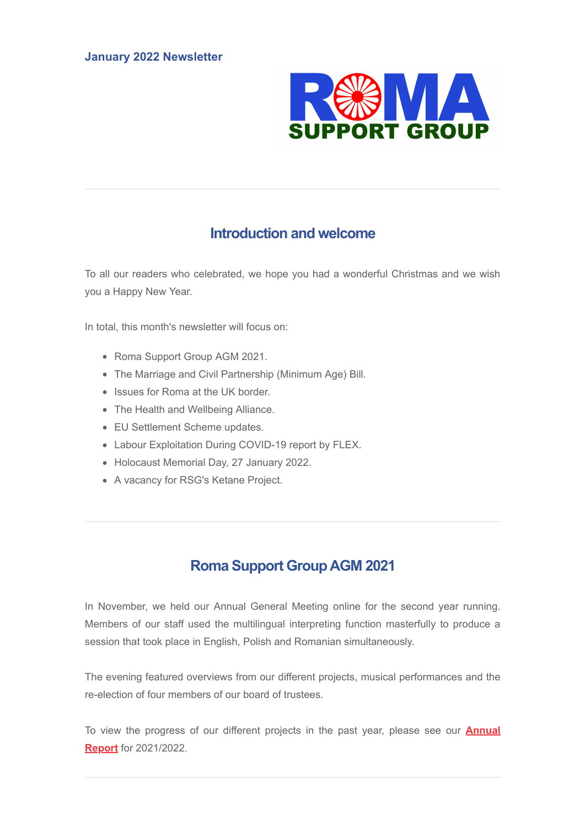

## **Introduction and welcome**

To all our readers who celebrated, we hope you had a wonderful Christmas and we wish you a Happy New Year.

In total, this month's newsletter will focus on:

- Roma Support Group AGM 2021.
- The Marriage and Civil Partnership (Minimum Age) Bill.
- Issues for Roma at the UK border.
- The Health and Wellbeing Alliance.
- EU Settlement Scheme updates.
- Labour Exploitation During COVID-19 report by FLEX.
- Holocaust Memorial Day, 27 January 2022.
- A vacancy for RSG's Ketane Project.

# **Roma Support GroupAGM 2021**

In November, we held our Annual General Meeting online for the second year running. Members of our staff used the multilingual interpreting function masterfully to produce a session that took place in English, Polish and Romanian simultaneously.

The evening featured overviews from our different projects, musical performances and the re-election of four members of our board of trustees.

To view the [progress of our different projects in the past year, please see our](https://www.canva.com/design/DAEhFC3qnRE/-nMNmpsEbe5uJrk2uXw6sA/view?utm_content=DAEhFC3qnRE&utm_campaign=designshare&utm_medium=link&utm_source=sharebutton#13) **Annual Report** for 2021/2022.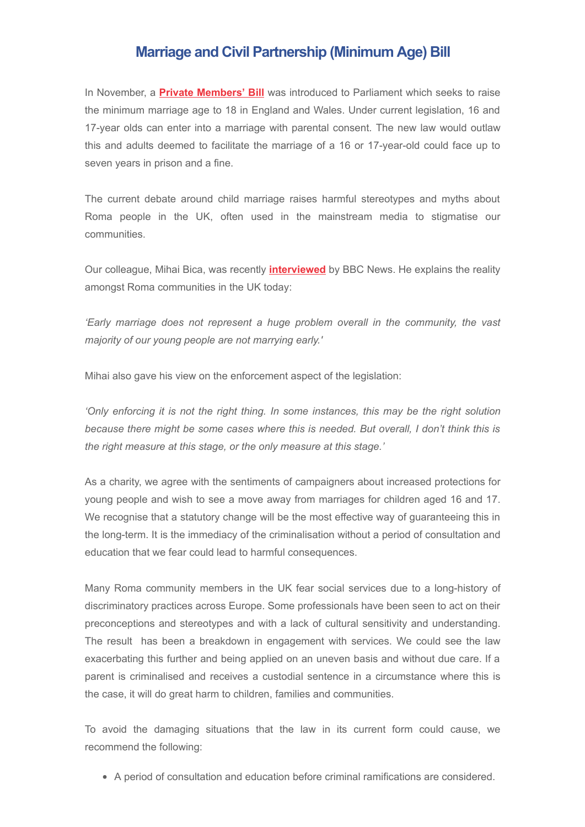## **Marriage and Civil Partnership (Minimum Age) Bill**

In November, a **[Private Members' Bill](https://bills.parliament.uk/bills/2900)** was introduced to Parliament which seeks to raise the minimum marriage age to 18 in England and Wales. Under current legislation, 16 and 17-year olds can enter into a marriage with parental consent. The new law would outlaw this and adults deemed to facilitate the marriage of a 16 or 17-year-old could face up to seven years in prison and a fine.

The current debate around child marriage raises harmful stereotypes and myths about Roma people in the UK, often used in the mainstream media to stigmatise our communities.

Our colleague, Mihai Bica, was recently **[interviewed](https://www.bbc.co.uk/news/av/uk-politics-59309643)** by BBC News. He explains the reality amongst Roma communities in the UK today:

*'Early marriage does not represent a huge problem overall in the community, the vast majority of our young people are not marrying early.'*

Mihai also gave his view on the enforcement aspect of the legislation:

*'Only enforcing it is not the right thing. In some instances, this may be the right solution because there might be some cases where this is needed. But overall, I don't think this is the right measure at this stage, or the only measure at this stage.'*

As a charity, we agree with the sentiments of campaigners about increased protections for young people and wish to see a move away from marriages for children aged 16 and 17. We recognise that a statutory change will be the most effective way of guaranteeing this in the long-term. It is the immediacy of the criminalisation without a period of consultation and education that we fear could lead to harmful consequences.

Many Roma community members in the UK fear social services due to a long-history of discriminatory practices across Europe. Some professionals have been seen to act on their preconceptions and stereotypes and with a lack of cultural sensitivity and understanding. The result has been a breakdown in engagement with services. We could see the law exacerbating this further and being applied on an uneven basis and without due care. If a parent is criminalised and receives a custodial sentence in a circumstance where this is the case, it will do great harm to children, families and communities.

To avoid the damaging situations that the law in its current form could cause, we recommend the following:

A period of consultation and education before criminal ramifications are considered.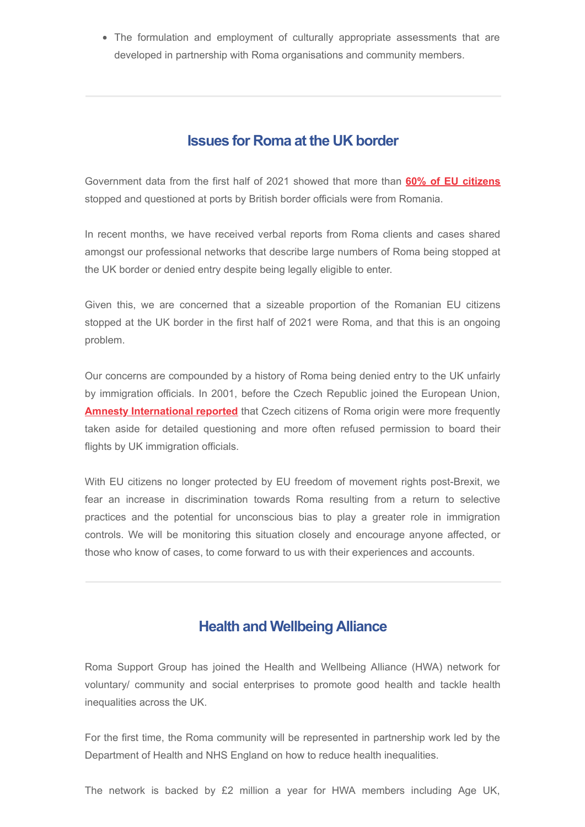• The formulation and employment of culturally appropriate assessments that are developed in partnership with Roma organisations and community members.

### **Issues for Roma at the UK border**

Government data from the first half of 2021 showed that more than **[60% of EU citizens](https://www.theguardian.com/uk-news/2021/sep/15/over-60-eu-citizens-stopped-ports-uk-brexit-romanian)** stopped and questioned at ports by British border officials were from Romania.

In recent months, we have received verbal reports from Roma clients and cases shared amongst our professional networks that describe large numbers of Roma being stopped at the UK border or denied entry despite being legally eligible to enter.

Given this, we are concerned that a sizeable proportion of the Romanian EU citizens stopped at the UK border in the first half of 2021 were Roma, and that this is an ongoing problem.

Our concerns are compounded by a history of Roma being denied entry to the UK unfairly by immigration officials. In 2001, before the Czech Republic joined the European Union, **[Amnesty International reported](https://www.amnesty.org.uk/press-releases/czech-roma-denied-entry-uk)** that Czech citizens of Roma origin were more frequently taken aside for detailed questioning and more often refused permission to board their flights by UK immigration officials.

With EU citizens no longer protected by EU freedom of movement rights post-Brexit, we fear an increase in discrimination towards Roma resulting from a return to selective practices and the potential for unconscious bias to play a greater role in immigration controls. We will be monitoring this situation closely and encourage anyone affected, or those who know of cases, to come forward to us with their experiences and accounts.

### **Health and Wellbeing Alliance**

Roma Support Group has joined the Health and Wellbeing Alliance (HWA) network for voluntary/ community and social enterprises to promote good health and tackle health inequalities across the UK.

For the first time, the Roma community will be represented in partnership work led by the Department of Health and NHS England on how to reduce health inequalities.

The network is backed by £2 million a year for HWA members including Age UK,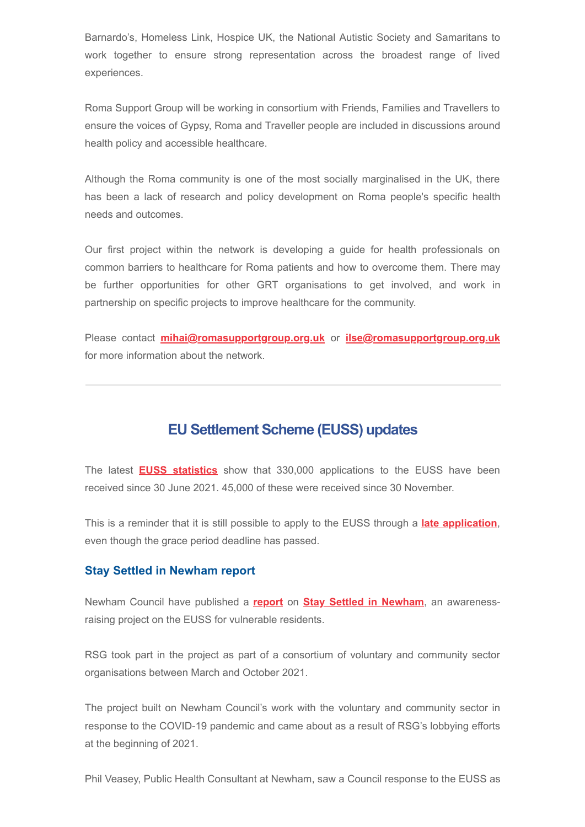Barnardo's, Homeless Link, Hospice UK, the National Autistic Society and Samaritans to work together to ensure strong representation across the broadest range of lived experiences.

Roma Support Group will be working in consortium with Friends, Families and Travellers to ensure the voices of Gypsy, Roma and Traveller people are included in discussions around health policy and accessible healthcare.

Although the Roma community is one of the most socially marginalised in the UK, there has been a lack of research and policy development on Roma people's specific health needs and outcomes.

Our first project within the network is developing a guide for health professionals on common barriers to healthcare for Roma patients and how to overcome them. There may be further opportunities for other GRT organisations to get involved, and work in partnership on specific projects to improve healthcare for the community.

Please contact **[mihai@romasupportgroup.org.uk](mailto:mihai@romasupportgroup.org.uk)** or **[ilse@romasupportgroup.org.uk](mailto:ilse@romasupportgroup.org.uk)** for more information about the network.

### **EU Settlement Scheme (EUSS) updates**

The latest **[EUSS statistics](https://www.gov.uk/government/collections/eu-settlement-scheme-statistics)** show that 330,000 applications to the EUSS have been received since 30 June 2021. 45,000 of these were received since 30 November.

This is a reminder that it is still possible to apply to the EUSS through a **[late application](https://www.gov.uk/government/publications/eu-settlement-scheme-information-for-late-applicants/eu-settlement-scheme-information-for-late-applicants)**, even though the grace period deadline has passed.

#### **Stay Settled in Newham report**

Newham Council have published a **[report](https://www.romasupportgroup.org.uk/uploads/9/3/6/8/93687016/settled_in_newham_report.pdf)** on **[Stay Settled in Newham](https://www.renewalprogramme.org.uk/news/stay-settled-in-newham/)**, an awarenessraising project on the EUSS for vulnerable residents.

RSG took part in the project as part of a consortium of voluntary and community sector organisations between March and October 2021.

The project built on Newham Council's work with the voluntary and community sector in response to the COVID-19 pandemic and came about as a result of RSG's lobbying efforts at the beginning of 2021.

Phil Veasey, Public Health Consultant at Newham, saw a Council response to the EUSS as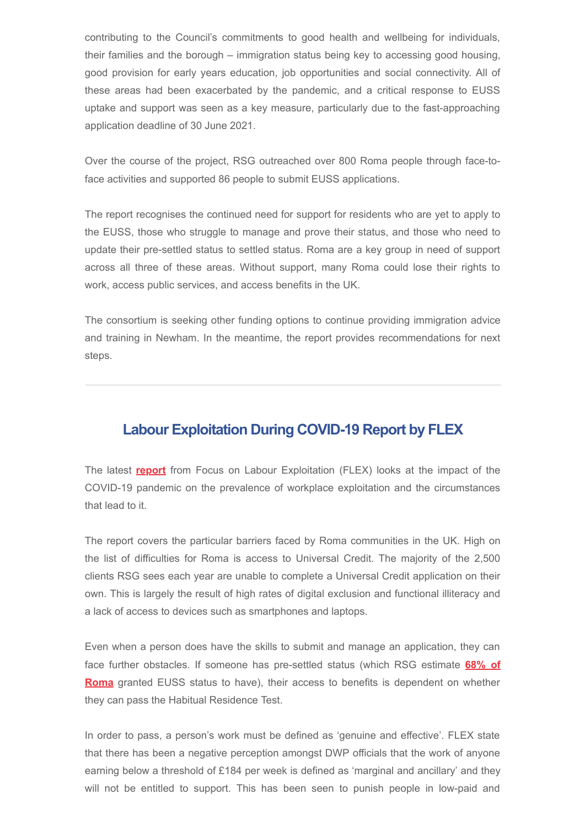contributing to the Council's commitments to good health and wellbeing for individuals, their families and the borough – immigration status being key to accessing good housing, good provision for early years education, job opportunities and social connectivity. All of these areas had been exacerbated by the pandemic, and a critical response to EUSS uptake and support was seen as a key measure, particularly due to the fast-approaching application deadline of 30 June 2021.

Over the course of the project, RSG outreached over 800 Roma people through face-toface activities and supported 86 people to submit EUSS applications.

The report recognises the continued need for support for residents who are yet to apply to the EUSS, those who struggle to manage and prove their status, and those who need to update their pre-settled status to settled status. Roma are a key group in need of support across all three of these areas. Without support, many Roma could lose their rights to work, access public services, and access benefits in the UK.

The consortium is seeking other funding options to continue providing immigration advice and training in Newham. In the meantime, the report provides recommendations for next steps.

### **Labour Exploitation During COVID-19 Report by FLEX**

The latest **[report](https://labourexploitation.org/publications/no-viable-alternatives-social-insecurity-and-risk-labour-exploitation-during-covid-19)** from Focus on Labour Exploitation (FLEX) looks at the impact of the COVID-19 pandemic on the prevalence of workplace exploitation and the circumstances that lead to it.

The report covers the particular barriers faced by Roma communities in the UK. High on the list of difficulties for Roma is access to Universal Credit. The majority of the 2,500 clients RSG sees each year are unable to complete a Universal Credit application on their own. This is largely the result of high rates of digital exclusion and functional illiteracy and a lack of access to devices such as smartphones and laptops.

Even when a person does have the skills to submit and manage an application, they can face further obstacles. If someone has pre-settled status (which RSG estimate **68% of Roma** [granted EUSS status to have\), their access to benefits is dependent on whether](https://www.romasupportgroup.org.uk/uploads/9/3/6/8/93687016/roma_brexit_euss_report_16.06.2020_final.pdf) they can pass the Habitual Residence Test.

In order to pass, a person's work must be defined as 'genuine and effective'. FLEX state that there has been a negative perception amongst DWP officials that the work of anyone earning below a threshold of £184 per week is defined as 'marginal and ancillary' and they will not be entitled to support. This has been seen to punish people in low-paid and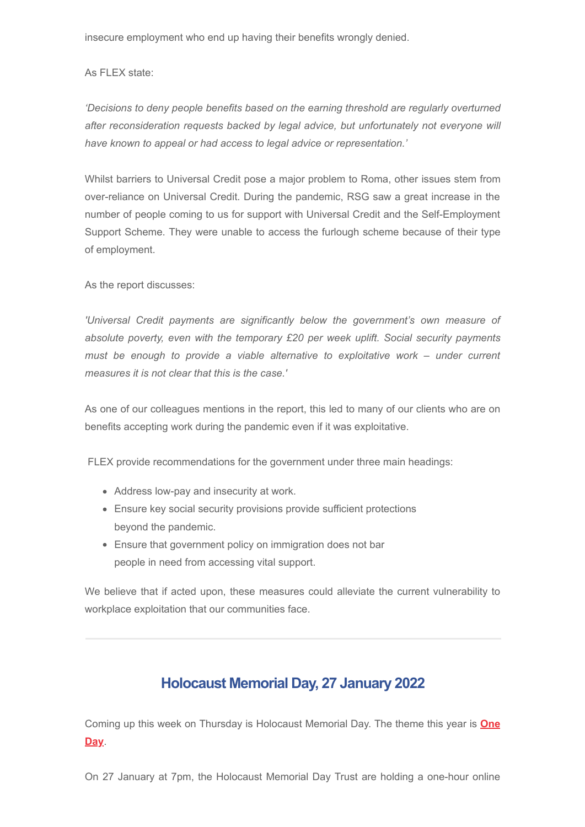insecure employment who end up having their benefits wrongly denied.

As FLEX state:

*'Decisions to deny people benefits based on the earning threshold are regularly overturned after reconsideration requests backed by legal advice, but unfortunately not everyone will have known to appeal or had access to legal advice or representation.'* 

Whilst barriers to Universal Credit pose a major problem to Roma, other issues stem from over-reliance on Universal Credit. During the pandemic, RSG saw a great increase in the number of people coming to us for support with Universal Credit and the Self-Employment Support Scheme. They were unable to access the furlough scheme because of their type of employment.

As the report discusses:

*'Universal Credit payments are significantly below the government's own measure of absolute poverty, even with the temporary £20 per week uplift. Social security payments must be enough to provide a viable alternative to exploitative work – under current measures it is not clear that this is the case.'*

As one of our colleagues mentions in the report, this led to many of our clients who are on benefits accepting work during the pandemic even if it was exploitative.

FLEX provide recommendations for the government under three main headings:

- Address low-pay and insecurity at work.
- Ensure key social security provisions provide sufficient protections beyond the pandemic.
- Ensure that government policy on immigration does not bar people in need from accessing vital support.

We believe that if acted upon, these measures could alleviate the current vulnerability to workplace exploitation that our communities face.

# **Holocaust Memorial Day, 27 January 2022**

Coming up this week on Thursday [is Holocaust Memorial Day. The theme this year is](https://www.hmd.org.uk/what-is-holocaust-memorial-day/this-years-theme/) **One Day**.

On 27 January at 7pm, the Holocaust Memorial Day Trust are holding a one-hour online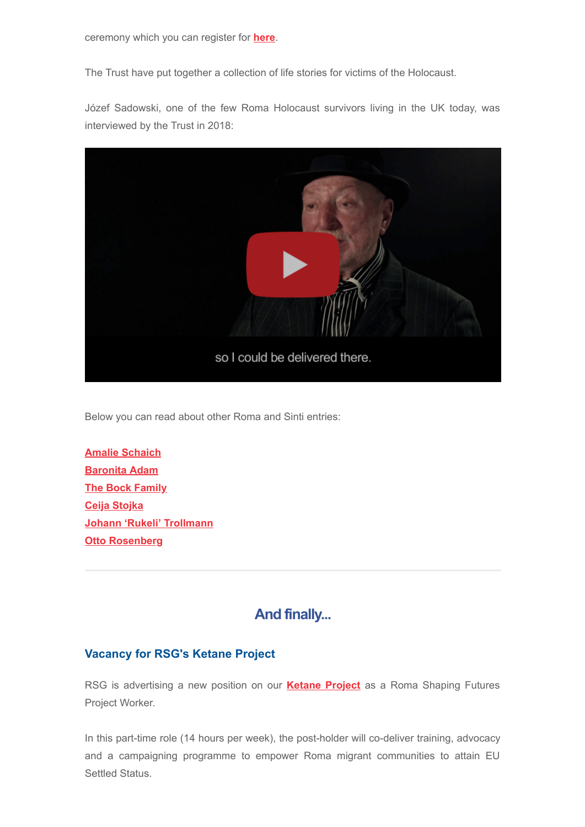ceremony which you can register for **[here](https://www.hmd.org.uk/take-part-in-holocaust-memorial-day/ukhmd/)**.

The Trust have put together a collection of life stories for victims of the Holocaust.

Józef Sadowski, one of the few Roma Holocaust survivors living in the UK today, was interviewed by the Trust in 2018:



Below you can read about other Roma and Sinti entries:

**[Amalie Schaich](https://www.hmd.org.uk/resource/amalie-schaich/) [Baronita Adam](https://www.hmd.org.uk/resource/baronita-adam/) [The Bock Family](https://www.hmd.org.uk/resource/gypsy-roma-and-sinti-history-bock-family/) [Ceija Stojka](https://www.hmd.org.uk/resource/ceija-stojka-chaya-stoyka/) [Johann 'Rukeli' Trollmann](https://www.hmd.org.uk/resource/johann-rukeli-trollmann/) [Otto Rosenberg](https://www.hmd.org.uk/resource/otto-rosenberg/)**

# **And finally...**

### **Vacancy for RSG's Ketane Project**

RSG is advertising a new position on our **[Ketane Project](https://www.romasupportgroup.org.uk/ketane---together-roma-shaping-futures.html)** as a Roma Shaping Futures Project Worker.

In this part-time role (14 hours per week), the post-holder will co-deliver training, advocacy and a campaigning programme to empower Roma migrant communities to attain EU Settled Status.